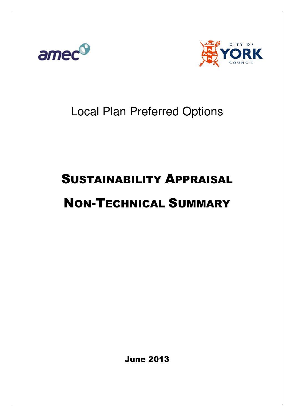



# Local Plan Preferred Options

# SUSTAINABILITY APPRAISAL

# NON-TECHNICAL SUMMARY

June 2013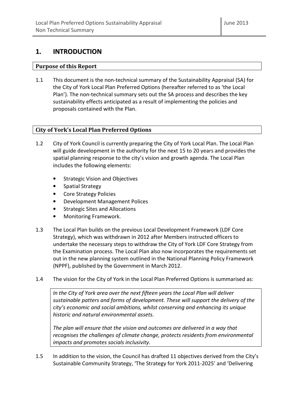# 1. INTRODUCTION

## Purpose of this Report

1.1 This document is the non-technical summary of the Sustainability Appraisal (SA) for the City of York Local Plan Preferred Options (hereafter referred to as 'the Local Plan'). The non-technical summary sets out the SA process and describes the key sustainability effects anticipated as a result of implementing the policies and proposals contained with the Plan.

## City of York's Local Plan Preferred Options

- 1.2 City of York Council is currently preparing the City of York Local Plan. The Local Plan will guide development in the authority for the next 15 to 20 years and provides the spatial planning response to the city's vision and growth agenda. The Local Plan includes the following elements:
	- Strategic Vision and Objectives
	- Spatial Strategy
	- Core Strategy Policies
	- Development Management Polices
	- Strategic Sites and Allocations
	- Monitoring Framework.
- 1.3 The Local Plan builds on the previous Local Development Framework (LDF Core Strategy), which was withdrawn in 2012 after Members instructed officers to undertake the necessary steps to withdraw the City of York LDF Core Strategy from the Examination process. The Local Plan also now incorporates the requirements set out in the new planning system outlined in the National Planning Policy Framework (NPPF), published by the Government in March 2012.
- 1.4 The vision for the City of York in the Local Plan Preferred Options is summarised as:

In the City of York area over the next fifteen years the Local Plan will deliver sustainable patters and forms of development. These will support the delivery of the city's economic and social ambitions, whilst conserving and enhancing its unique historic and natural environmental assets.

The plan will ensure that the vision and outcomes are delivered in a way that recognises the challenges of climate change, protects residents from environmental impacts and promotes socials inclusivity.

1.5 In addition to the vision, the Council has drafted 11 objectives derived from the City's Sustainable Community Strategy, 'The Strategy for York 2011-2025' and 'Delivering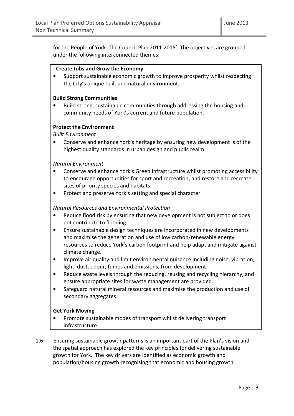for the People of York: The Council Plan 2011-2015'. The objectives are grouped under the following interconnected themes:

### Create Jobs and Grow the Economy

• Support sustainable economic growth to improve prosperity whilst respecting the City's unique built and natural environment.

## Build Strong Communities

• Build strong, sustainable communities through addressing the housing and community needs of York's current and future population.

## Protect the Environment

Built Environment

• Conserve and enhance York's heritage by ensuring new development is of the highest quality standards in urban design and public realm.

## Natural Environment

- Conserve and enhance York's Green Infrastructure whilst promoting accessibility to encourage opportunities for sport and recreation, and restore and recreate sites of priority species and habitats.
- Protect and preserve York's setting and special character

## Natural Resources and Environmental Protection

- Reduce flood risk by ensuring that new development is not subject to or does not contribute to flooding.
- Ensure sustainable design techniques are incorporated in new developments and maximise the generation and use of low carbon/renewable energy resources to reduce York's carbon footprint and help adapt and mitigate against climate change.
- Improve air quality and limit environmental nuisance including noise, vibration, light, dust, odour, fumes and emissions, from development.
- Reduce waste levels through the reducing, reusing and recycling hierarchy, and ensure appropriate sites for waste management are provided.
- Safeguard natural mineral resources and maximise the production and use of secondary aggregates.

## Get York Moving

- Promote sustainable modes of transport whilst delivering transport infrastructure.
- 1.6 Ensuring sustainable growth patterns is an important part of the Plan's vision and the spatial approach has explored the key principles for delivering sustainable growth for York. The key drivers are identified as economic growth and population/housing growth recognising that economic and housing growth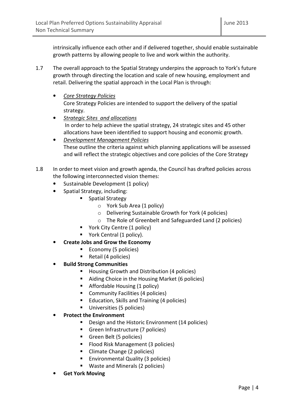intrinsically influence each other and if delivered together, should enable sustainable growth patterns by allowing people to live and work within the authority.

- 1.7 The overall approach to the Spatial Strategy underpins the approach to York's future growth through directing the location and scale of new housing, employment and retail. Delivering the spatial approach in the Local Plan is through:
	- Core Strategy Policies Core Strategy Policies are intended to support the delivery of the spatial strategy.
	- Strategic Sites and allocations In order to help achieve the spatial strategy, 24 strategic sites and 45 other allocations have been identified to support housing and economic growth.
	- Development Management Policies These outline the criteria against which planning applications will be assessed and will reflect the strategic objectives and core policies of the Core Strategy
- 1.8 In order to meet vision and growth agenda, the Council has drafted policies across the following interconnected vision themes:
	- Sustainable Development (1 policy)
	- Spatial Strategy, including:
		- **Spatial Strategy** 
			- o York Sub Area (1 policy)
			- o Delivering Sustainable Growth for York (4 policies)
			- o The Role of Greenbelt and Safeguarded Land (2 policies)
		- **Theory Contral (1 policy)**
		- York Central (1 policy).
	- Create Jobs and Grow the Economy
		- Economy (5 policies)
		- Retail  $(4$  policies)
	- Build Strong Communities
		- **Housing Growth and Distribution (4 policies)**
		- Aiding Choice in the Housing Market (6 policies)
		- Affordable Housing (1 policy)
		- **Community Facilities (4 policies)**
		- Education, Skills and Training (4 policies)
		- **Universities (5 policies)**
	- Protect the Environment
		- Design and the Historic Environment (14 policies)
		- Green Infrastructure (7 policies)
		- Green Belt (5 policies)
		- Flood Risk Management (3 policies)
		- Climate Change (2 policies)
		- **Environmental Quality (3 policies)**
		- Waste and Minerals (2 policies)
	- **Get York Moving**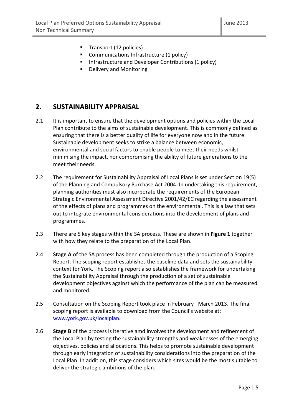- Transport (12 policies)
- **Communications Infrastructure (1 policy)**
- **Infrastructure and Developer Contributions (1 policy)**
- Delivery and Monitoring

# 2. SUSTAINABILITY APPRAISAL

- 2.1 It is important to ensure that the development options and policies within the Local Plan contribute to the aims of sustainable development. This is commonly defined as ensuring that there is a better quality of life for everyone now and in the future. Sustainable development seeks to strike a balance between economic, environmental and social factors to enable people to meet their needs whilst minimising the impact, nor compromising the ability of future generations to the meet their needs.
- 2.2 The requirement for Sustainability Appraisal of Local Plans is set under Section 19(5) of the Planning and Compulsory Purchase Act 2004. In undertaking this requirement, planning authorities must also incorporate the requirements of the European Strategic Environmental Assessment Directive 2001/42/EC regarding the assessment of the effects of plans and programmes on the environmental. This is a law that sets out to integrate environmental considerations into the development of plans and programmes.
- 2.3 There are 5 key stages within the SA process. These are shown in Figure 1 together with how they relate to the preparation of the Local Plan.
- 2.4 Stage A of the SA process has been completed through the production of a Scoping Report. The scoping report establishes the baseline data and sets the sustainability context for York. The Scoping report also establishes the framework for undertaking the Sustainability Appraisal through the production of a set of sustainable development objectives against which the performance of the plan can be measured and monitored.
- 2.5 Consultation on the Scoping Report took place in February –March 2013. The final scoping report is available to download from the Council's website at: www.york.gov.uk/localplan.
- 2.6 Stage B of the process is iterative amd involves the development and refinement of the Local Plan by testing the sustainability strengths and weaknesses of the emerging objectives, policies and allocations. This helps to promote sustainable development through early integration of sustainability considerations into the preparation of the Local Plan. In addition, this stage considers which sites would be the most suitable to deliver the strategic ambitions of the plan.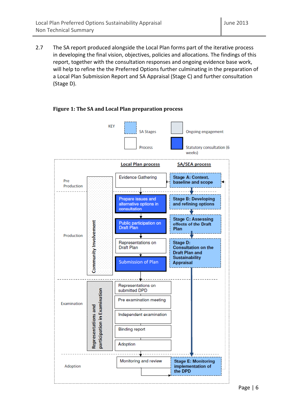2.7 The SA report produced alongside the Local Plan forms part of the iterative process in developing the final vision, objectives, policies and allocations. The findings of this report, together with the consultation responses and ongoing evidence base work, will help to refine the the Preferred Options further culminating in the preparation of a Local Plan Submission Report and SA Appraisal (Stage C) and further consultation (Stage D).



## Figure 1: The SA and Local Plan preparation process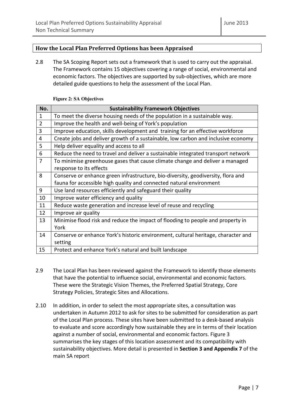## How the Local Plan Preferred Options has been Appraised

2.8 The SA Scoping Report sets out a framework that is used to carry out the appraisal. The Framework contains 15 objectives covering a range of social, environmental and economic factors. The objectives are supported by sub-objectives, which are more detailed guide questions to help the assessment of the Local Plan.

| No.            | <b>Sustainability Framework Objectives</b>                                        |
|----------------|-----------------------------------------------------------------------------------|
| 1              | To meet the diverse housing needs of the population in a sustainable way.         |
| $\overline{2}$ | Improve the health and well-being of York's population                            |
| 3              | Improve education, skills development and training for an effective workforce     |
| 4              | Create jobs and deliver growth of a sustainable, low carbon and inclusive economy |
| 5              | Help deliver equality and access to all                                           |
| 6              | Reduce the need to travel and deliver a sustainable integrated transport network  |
| $\overline{7}$ | To minimise greenhouse gases that cause climate change and deliver a managed      |
|                | response to its effects                                                           |
| 8              | Conserve or enhance green infrastructure, bio-diversity, geodiversity, flora and  |
|                | fauna for accessible high quality and connected natural environment               |
| 9              | Use land resources efficiently and safeguard their quality                        |
| 10             | Improve water efficiency and quality                                              |
| 11             | Reduce waste generation and increase level of reuse and recycling                 |
| 12             | Improve air quality                                                               |
| 13             | Minimise flood risk and reduce the impact of flooding to people and property in   |
|                | York                                                                              |
| 14             | Conserve or enhance York's historic environment, cultural heritage, character and |
|                | setting                                                                           |
| 15             | Protect and enhance York's natural and built landscape                            |

### **Figure 2: SA Objectives**

- 2.9 The Local Plan has been reviewed against the Framework to identify those elements that have the potential to influence social, environmental and economic factors. These were the Strategic Vision Themes, the Preferred Spatial Strategy, Core Strategy Policies, Strategic Sites and Allocations.
- 2.10 In addition, in order to select the most appropriate sites, a consultation was undertaken in Autumn 2012 to ask for sites to be submitted for consideration as part of the Local Plan process. These sites have been submitted to a desk-based analysis to evaluate and score accordingly how sustainable they are in terms of their location against a number of social, environmental and economic factors. Figure 3 summarises the key stages of this location assessment and its compatibility with sustainability objectives. More detail is presented in Section 3 and Appendix 7 of the main SA report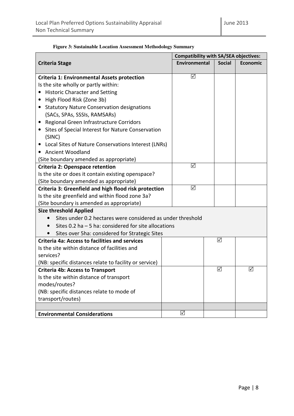|                                                                                                  |                      |                 | <b>Compatibility with SA/SEA objectives:</b> |
|--------------------------------------------------------------------------------------------------|----------------------|-----------------|----------------------------------------------|
| <b>Criteria Stage</b>                                                                            | <b>Environmental</b> | <b>Social</b>   | <b>Economic</b>                              |
|                                                                                                  | ☑                    |                 |                                              |
| <b>Criteria 1: Environmental Assets protection</b><br>Is the site wholly or partly within:       |                      |                 |                                              |
|                                                                                                  |                      |                 |                                              |
| <b>Historic Character and Setting</b>                                                            |                      |                 |                                              |
| High Flood Risk (Zone 3b)<br>$\bullet$<br><b>Statutory Nature Conservation designations</b><br>٠ |                      |                 |                                              |
| (SACs, SPAs, SSSIs, RAMSARs)                                                                     |                      |                 |                                              |
| Regional Green Infrastructure Corridors<br>٠                                                     |                      |                 |                                              |
| Sites of Special Interest for Nature Conservation                                                |                      |                 |                                              |
| (SINC)                                                                                           |                      |                 |                                              |
| Local Sites of Nature Conservations Interest (LNRs)                                              |                      |                 |                                              |
| <b>Ancient Woodland</b>                                                                          |                      |                 |                                              |
| (Site boundary amended as appropriate)                                                           |                      |                 |                                              |
| Criteria 2: Openspace retention                                                                  | ☑                    |                 |                                              |
| Is the site or does it contain existing openspace?                                               |                      |                 |                                              |
| (Site boundary amended as appropriate)                                                           |                      |                 |                                              |
| Criteria 3: Greenfield and high flood risk protection                                            | ☑                    |                 |                                              |
| Is the site greenfield and within flood zone 3a?                                                 |                      |                 |                                              |
| (Site boundary is amended as appropriate)                                                        |                      |                 |                                              |
| <b>Size threshold Applied</b>                                                                    |                      |                 |                                              |
| Sites under 0.2 hectares were considered as under threshold                                      |                      |                 |                                              |
| Sites 0.2 ha $-5$ ha: considered for site allocations                                            |                      |                 |                                              |
| Sites over 5ha: considered for Strategic Sites                                                   |                      |                 |                                              |
| <b>Criteria 4a: Access to facilities and services</b>                                            |                      | $\triangledown$ |                                              |
| Is the site within distance of facilities and                                                    |                      |                 |                                              |
| services?                                                                                        |                      |                 |                                              |
| (NB: specific distances relate to facility or service)                                           |                      |                 |                                              |
| <b>Criteria 4b: Access to Transport</b>                                                          |                      | ☑               | ☑                                            |
| Is the site within distance of transport                                                         |                      |                 |                                              |
| modes/routes?                                                                                    |                      |                 |                                              |
| (NB: specific distances relate to mode of                                                        |                      |                 |                                              |
| transport/routes)                                                                                |                      |                 |                                              |
| <b>Environmental Considerations</b>                                                              | ☑                    |                 |                                              |
|                                                                                                  |                      |                 |                                              |

## **Figure 3: Sustainable Location Assessment Methodology Summary**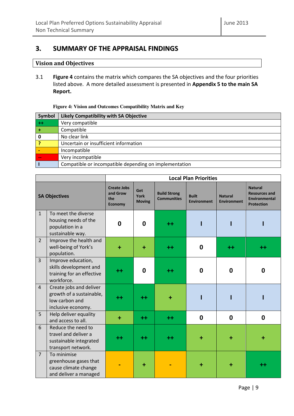# 3. SUMMARY OF THE APPRAISAL FINDINGS

## Vision and Objectives

3.1 Figure 4 contains the matrix which compares the SA objectives and the four priorities listed above. A more detailed assessment is presented in Appendix 5 to the main SA Report.

### **Figure 4: Vision and Outcomes Compatibility Matrix and Key**

| Symbol | Likely Compatibility with SA Objective                 |
|--------|--------------------------------------------------------|
| $++$   | Very compatible                                        |
|        | Compatible                                             |
| 0      | No clear link                                          |
|        | Uncertain or insufficient information                  |
|        | Incompatible                                           |
|        | Very incompatible                                      |
|        | Compatible or incompatible depending on implementation |

|                |                                                                                             | <b>Local Plan Priorities</b>                            |                                     |                                           |                                    |                                      |                                                                                     |  |  |  |  |
|----------------|---------------------------------------------------------------------------------------------|---------------------------------------------------------|-------------------------------------|-------------------------------------------|------------------------------------|--------------------------------------|-------------------------------------------------------------------------------------|--|--|--|--|
|                | <b>SA Objectives</b>                                                                        | <b>Create Jobs</b><br>and Grow<br>the<br><b>Economy</b> | Get<br><b>York</b><br><b>Moving</b> | <b>Build Strong</b><br><b>Communities</b> | <b>Built</b><br><b>Environment</b> | <b>Natural</b><br><b>Environment</b> | <b>Natural</b><br><b>Resources and</b><br><b>Environmental</b><br><b>Protection</b> |  |  |  |  |
| $\mathbf{1}$   | To meet the diverse<br>housing needs of the<br>population in a<br>sustainable way.          | $\mathbf 0$                                             | 0                                   | ++                                        |                                    |                                      |                                                                                     |  |  |  |  |
| $\overline{2}$ | Improve the health and<br>well-being of York's<br>population.                               | ÷                                                       | ÷                                   | $++$                                      | 0                                  | $^{\mathrm{+}}$                      | ++                                                                                  |  |  |  |  |
| 3              | Improve education,<br>skills development and<br>training for an effective<br>workforce.     | ++                                                      | 0                                   | ++                                        | 0                                  | $\mathbf 0$                          | 0                                                                                   |  |  |  |  |
| $\overline{4}$ | Create jobs and deliver<br>growth of a sustainable,<br>low carbon and<br>inclusive economy. | ++                                                      | ++                                  | ٠                                         |                                    |                                      |                                                                                     |  |  |  |  |
| 5              | Help deliver equality<br>and access to all.                                                 | ÷                                                       | $++$                                | $++$                                      | $\bf{0}$                           | 0                                    | $\mathbf{0}$                                                                        |  |  |  |  |
| 6              | Reduce the need to<br>travel and deliver a<br>sustainable integrated<br>transport network.  | ++                                                      | $^{++}$                             | $++$                                      |                                    |                                      |                                                                                     |  |  |  |  |
| $\overline{7}$ | To minimise<br>greenhouse gases that<br>cause climate change<br>and deliver a managed       |                                                         |                                     |                                           |                                    |                                      | ++                                                                                  |  |  |  |  |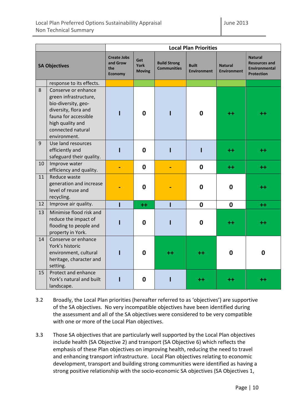|    |                                                                                                                                                                              | <b>Local Plan Priorities</b>                            |                                     |                                           |                                    |                                      |                                                                                     |  |  |  |  |  |
|----|------------------------------------------------------------------------------------------------------------------------------------------------------------------------------|---------------------------------------------------------|-------------------------------------|-------------------------------------------|------------------------------------|--------------------------------------|-------------------------------------------------------------------------------------|--|--|--|--|--|
|    | <b>SA Objectives</b>                                                                                                                                                         | <b>Create Jobs</b><br>and Grow<br>the<br><b>Economy</b> | Get<br><b>York</b><br><b>Moving</b> | <b>Build Strong</b><br><b>Communities</b> | <b>Built</b><br><b>Environment</b> | <b>Natural</b><br><b>Environment</b> | <b>Natural</b><br><b>Resources and</b><br><b>Environmental</b><br><b>Protection</b> |  |  |  |  |  |
|    | response to its effects.                                                                                                                                                     |                                                         |                                     |                                           |                                    |                                      |                                                                                     |  |  |  |  |  |
| 8  | Conserve or enhance<br>green infrastructure,<br>bio-diversity, geo-<br>diversity, flora and<br>fauna for accessible<br>high quality and<br>connected natural<br>environment. |                                                         | $\mathbf 0$                         |                                           | $\mathbf 0$                        | ++                                   | ++                                                                                  |  |  |  |  |  |
| 9  | Use land resources<br>efficiently and<br>safeguard their quality.                                                                                                            |                                                         | $\mathbf 0$                         | I                                         |                                    | $^{\mathrm{+}}$                      | ++                                                                                  |  |  |  |  |  |
| 10 | Improve water<br>efficiency and quality.                                                                                                                                     |                                                         | 0                                   |                                           | $\boldsymbol{0}$                   | $+ +$                                | $^{\mathrm{++}}$                                                                    |  |  |  |  |  |
| 11 | Reduce waste<br>generation and increase<br>level of reuse and<br>recycling.                                                                                                  |                                                         | 0                                   |                                           | $\mathbf 0$                        | $\bf{0}$                             | ++                                                                                  |  |  |  |  |  |
| 12 | Improve air quality.                                                                                                                                                         | $\mathbf{I}$                                            | $++$                                | Ī                                         | $\mathbf 0$                        | $\mathbf 0$                          | $++$                                                                                |  |  |  |  |  |
| 13 | Minimise flood risk and<br>reduce the impact of<br>flooding to people and<br>property in York.                                                                               |                                                         | 0                                   | ı                                         | $\boldsymbol{0}$                   | ++                                   | ++                                                                                  |  |  |  |  |  |
| 14 | Conserve or enhance<br>York's historic<br>environment, cultural<br>heritage, character and<br>setting.                                                                       |                                                         | 0                                   | $^{\mathrm{++}}$                          | $^{\mathrm{+}}$                    | $\bf{0}$                             | 0                                                                                   |  |  |  |  |  |
| 15 | Protect and enhance<br>York's natural and built<br>landscape.                                                                                                                |                                                         | 0                                   |                                           |                                    |                                      |                                                                                     |  |  |  |  |  |

- 3.2 Broadly, the Local Plan priorities (hereafter referred to as 'objectives') are supportive of the SA objectives. No very incompatible objectives have been identified during the assessment and all of the SA objectives were considered to be very compatible with one or more of the Local Plan objectives.
- 3.3 Those SA objectives that are particularly well supported by the Local Plan objectives include health (SA Objective 2) and transport (SA Objective 6) which reflects the emphasis of these Plan objectives on improving health, reducing the need to travel and enhancing transport infrastructure. Local Plan objectives relating to economic development, transport and building strong communities were identified as having a strong positive relationship with the socio-economic SA objectives (SA Objectives 1,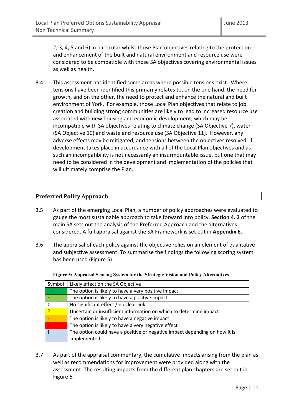2, 3, 4, 5 and 6) in particular whilst those Plan objectives relating to the protection and enhancement of the built and natural environment and resource use were considered to be compatible with those SA objectives covering environmental issues as well as health.

3.4 This assessment has identified some areas where possible tensions exist. Where tensions have been identified this primarily relates to, on the one hand, the need for growth, and on the other, the need to protect and enhance the natural and built environment of York. For example, those Local Plan objectives that relate to job creation and building strong communities are likely to lead to increased resource use associated with new housing and economic development, which may be incompatible with SA objectives relating to climate change (SA Objective 7), water (SA Objective 10) and waste and resource use (SA Objective 11). However, any adverse effects may be mitigated, and tensions between the objectives resolved, if development takes place in accordance with all of the Local Plan objectives and as such an incompatibility is not necessarily an insurmountable issue, but one that may need to be considered in the development and implementation of the policies that will ultimately comprise the Plan.

## Preferred Policy Approach

- 3.5 As part of the emerging Local Plan, a number of policy approaches were evaluated to gauge the most sustainable approach to take forward into policy. Section 4. 2 of the main SA sets out the analysis of the Preferred Approach and the alternatives considered. A full appraisal against the SA Framework is set out in Appendix 6.
- 3.6 The appraisal of each policy against the objective relies on an element of qualitative and subjective assessment. To summarise the findings the following scoring system has been used (Figure 5).

|  |  | Figure 5: Appraisal Scoring System for the Strategic Vision and Policy Alternatives |
|--|--|-------------------------------------------------------------------------------------|
|  |  |                                                                                     |

| Symbol | Likely effect on the SA Objective                                          |
|--------|----------------------------------------------------------------------------|
| $++$   | The option is likely to have a very positive impact                        |
|        | The option is likely to have a positive impact                             |
|        | No significant effect / no clear link                                      |
|        | Uncertain or insufficient information on which to determine impact         |
|        | The option is likely to have a negative impact                             |
|        | The option is likely to have a very negative effect                        |
|        | The option could have a positive or negative impact depending on how it is |
|        | implemented                                                                |

3.7 As part of the appraisal commentary, the cumulative impacts arising from the plan as well as recommendations for improvement were provided along with the assessment. The resulting impacts from the different plan chapters are set out in Figure 6.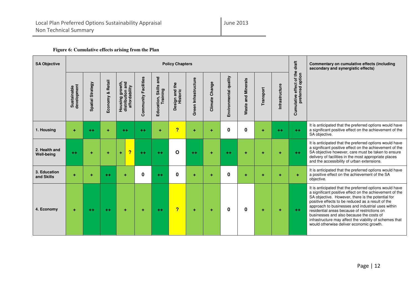| <b>SA Objective</b>                | <b>Policy Chapters</b>     |                  |                               |                                                      |                      |                                                |                            |                      |                |                       |                              |           |                |                                                        | Commentary on cumulative effects (including<br>secondary and synergistic effects)                                                                                                                                                                                                                                                                                                                                                                                                    |
|------------------------------------|----------------------------|------------------|-------------------------------|------------------------------------------------------|----------------------|------------------------------------------------|----------------------------|----------------------|----------------|-----------------------|------------------------------|-----------|----------------|--------------------------------------------------------|--------------------------------------------------------------------------------------------------------------------------------------------------------------------------------------------------------------------------------------------------------------------------------------------------------------------------------------------------------------------------------------------------------------------------------------------------------------------------------------|
|                                    | development<br>Sustainable | Spatial Strategy | <b>Retail</b><br>ೲ<br>Economy | Housing growth,<br>distribution and<br>affordability | Community Facilities | and<br><b>Skills</b><br>Training<br>Education, | Design and the<br>Historic | Green Infrastructure | Climate Change | Environmental quality | and Minerals<br><b>Waste</b> | Transport | Infrastructure | ct of the<br>ಕ<br>rred<br>effe<br>prefer<br>Cumulative |                                                                                                                                                                                                                                                                                                                                                                                                                                                                                      |
| 1. Housing                         | $\ddot{}$                  | $^{++}$          | ٠                             | $++$                                                 | $++$                 | ÷                                              | ?                          | ÷                    | ÷              | 0                     | 0                            | ÷         | $+ +$          | $+ +$                                                  | It is anticipated that the preferred options would have<br>a significant positive effect on the achievement of the<br>SA objective.                                                                                                                                                                                                                                                                                                                                                  |
| 2. Health and<br><b>Well-being</b> | $++$                       | ÷                | ÷                             | $\overline{\mathbf{r}}$<br>÷                         | $++$                 | $+ +$                                          | O                          | $+ +$                | ÷              | $+ +$                 | ÷                            | ÷         | ÷              | $++$                                                   | It is anticipated that the preferred options would have<br>a significant positive effect on the achievement of the<br>SA objective however, care must be taken to ensure<br>delivery of facilities in the most appropriate places<br>and the accessibility of urban extensions.                                                                                                                                                                                                      |
| 3. Education<br>and Skills         | ÷                          | ٠                | $+ +$                         | ÷                                                    | 0                    | $+ +$                                          | 0                          | ÷                    | ÷              | 0                     | ٠                            | ÷         | ÷              | ÷                                                      | It is anticipated that the preferred options would have<br>a positive effect on the achievement of the SA<br>objective.                                                                                                                                                                                                                                                                                                                                                              |
| 4. Economy                         | $\ddot{}$                  | $++$             | $+ +$                         | ÷                                                    | ÷                    | $+ +$                                          | $\overline{\mathbf{P}}$    | ÷                    | ÷              | $\bf{0}$              | $\bf{0}$                     | ÷         | ÷              | $++$                                                   | It is anticipated that the preferred options would have<br>a significant positive effect on the achievement of the<br>SA objective. However, there is the potential for<br>positive effects to be reduced as a result of the<br>approach to businesses and industrial uses within<br>residential areas because of restrictions on<br>businesses and also because the costs of<br>infrastructure may affect the viability of schemes that<br>would otherwise deliver economic growth. |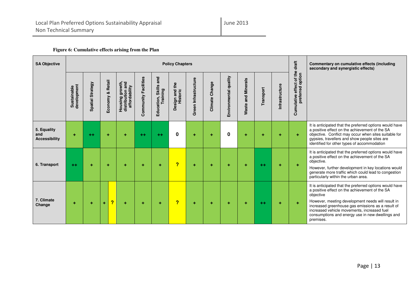| <b>SA Objective</b>                        | <b>Policy Chapters</b>     |                         |                               |                                                      |                      |                                                |                                       |                      |                |                       |                                            |           |                |                                                            | Commentary on cumulative effects (including<br>secondary and synergistic effects)                                                                                                                                                                                                                                                                |
|--------------------------------------------|----------------------------|-------------------------|-------------------------------|------------------------------------------------------|----------------------|------------------------------------------------|---------------------------------------|----------------------|----------------|-----------------------|--------------------------------------------|-----------|----------------|------------------------------------------------------------|--------------------------------------------------------------------------------------------------------------------------------------------------------------------------------------------------------------------------------------------------------------------------------------------------------------------------------------------------|
|                                            | Sustainable<br>development | <b>Spatial Strategy</b> | <b>Retail</b><br>×<br>Economy | Housing growth,<br>distribution and<br>affordability | Community Facilities | and<br><b>Skills</b><br>Training<br>Education, | the<br>sign and<br>Historic<br>Design | Green Infrastructure | Climate Change | Environmental quality | <b>Minerals</b><br>$\overline{a}$<br>Waste | Transport | Infrastructure | of the<br>ਠ<br>ಕ<br>effe<br>red<br>ō<br>Cumulative<br>pref |                                                                                                                                                                                                                                                                                                                                                  |
| 5. Equality<br>and<br><b>Accessibility</b> | ٠                          | $^{++}$                 | ٠                             | ÷                                                    | $++$                 | $+ +$                                          | 0                                     | ÷                    | ÷              | 0                     |                                            | ٠         | ÷              | ÷                                                          | It is anticipated that the preferred options would have<br>a positive effect on the achievement of the SA<br>objective. Conflict may occur when sites suitable for<br>gypsies, travellers and show people sites are<br>identified for other types of accommodation                                                                               |
| 6. Transport                               | $++$                       | ÷                       | ٠                             | ÷                                                    | ÷                    | ÷                                              | ?                                     | ÷                    | ÷              | ÷                     | ÷                                          | $++$      | ÷              | ÷                                                          | It is anticipated that the preferred options would have<br>a positive effect on the achievement of the SA<br>objective.<br>However, further development in key locations would<br>generate more traffic which could lead to congestion<br>particularly within the urban area.                                                                    |
| 7. Climate<br>Change                       | ÷                          | ÷                       | $\overline{?}$<br>÷           | $\ddot{}$                                            | ÷                    | ÷                                              | ?                                     | ÷                    | ÷              | ٠                     | ٠                                          | $+ +$     | ÷              | ÷                                                          | It is anticipated that the preferred options would have<br>a positive effect on the achievement of the SA<br>objective<br>However, meeting development needs will result in<br>increased greenhouse gas emissions as a result of<br>increased vehicle movements, increased fuel<br>consumptions and energy use in new dwellings and<br>premises. |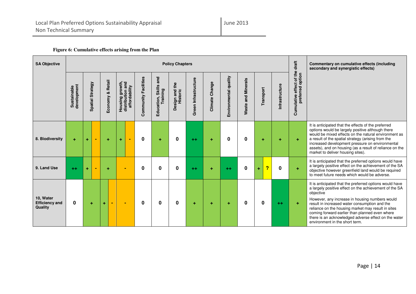| <b>SA Objective</b>                           | <b>Policy Chapters</b>     |   |                  |   |                                      |         |                                                      |                      |                                                |                                 |                      |                |                       |                       | drat                    | Commentary on cumulative effects (including<br>secondary and synergistic effects) |                                                                  |                                                                                                                                                                                                                                                                                                                                                                                                                                     |
|-----------------------------------------------|----------------------------|---|------------------|---|--------------------------------------|---------|------------------------------------------------------|----------------------|------------------------------------------------|---------------------------------|----------------------|----------------|-----------------------|-----------------------|-------------------------|-----------------------------------------------------------------------------------|------------------------------------------------------------------|-------------------------------------------------------------------------------------------------------------------------------------------------------------------------------------------------------------------------------------------------------------------------------------------------------------------------------------------------------------------------------------------------------------------------------------|
|                                               | development<br>Sustainable |   | Spatial Strategy |   | <b>Retail</b><br><b>∝</b><br>Economy | Housing | Housing growth,<br>distribution and<br>affordability | Community Facilities | and<br><b>Skills</b><br>Training<br>Education, | the<br>Design and 1<br>Historic | Green Infrastructure | Climate Change | Environmental quality | and Minerals<br>Waste | Transport               | Infrastructure                                                                    | at of the<br>option<br>ಕ<br>effe<br>rred<br>prefer<br>Cumulative |                                                                                                                                                                                                                                                                                                                                                                                                                                     |
| 8. Biodiversity                               | ÷                          | ÷ | $\blacksquare$   |   | ÷                                    | ÷       | $\blacksquare$                                       | 0                    | ÷                                              | 0                               | $^{++}$              | ÷              | 0                     | 0                     | ٠                       | ÷                                                                                 | $\ddot{}$                                                        | It is anticipated that the effects of the preferred<br>options would be largely positive although there<br>would be mixed effects on the natural environment as<br>a result of the spatial strategy (arising from the<br>increased development pressure on environmental<br>assets), and on housing (as a result of reliance on the<br>market to deliver housing sites).                                                            |
| 9. Land Use                                   | $++$                       | ÷ |                  |   | ÷                                    |         | $\blacksquare$                                       | $\mathbf 0$          | 0                                              | 0                               | $++$                 | ÷              | $++$                  | $\bf{0}$              | <mark>?</mark><br>$\pm$ | $\bf{0}$                                                                          | $\ddot{\phantom{1}}$                                             | It is anticipated that the preferred options would have<br>a largely positive effect on the achievement of the SA<br>objective however greenfield land would be required<br>to meet future needs which would be adverse.                                                                                                                                                                                                            |
| 10. Water<br><b>Efficiency and</b><br>Quality | $\mathbf{0}$               |   | ÷                | ÷ | $\sim$                               |         | $\blacksquare$                                       | $\bf{0}$             | $\bf{0}$                                       | 0                               | ÷                    | ÷              | ٠                     | 0                     | $\mathbf 0$             | $+ +$                                                                             | ÷                                                                | It is anticipated that the preferred options would have<br>a largely positive effect on the achievement of the SA<br>objective<br>However, any increase in housing numbers would<br>result in increased water consumption and the<br>reliance on the housing market may result in sites<br>coming forward earlier than planned even where<br>there is an acknowledged adverse effect on the water<br>environment in the short term. |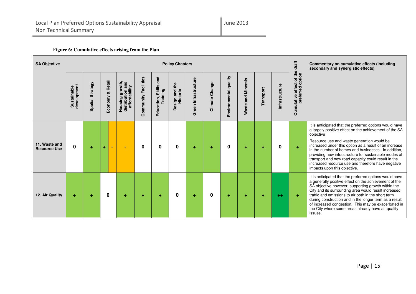| <b>SA Objective</b>                  | <b>Policy Chapters</b>     |                         |                               |                                                             |                      |                                               |                                 |                      |                |                       |                              |           |               |                                                                   | Commentary on cumulative effects (including<br>secondary and synergistic effects)                                                                                                                                                                                                                                                                                                                                                                                                                   |
|--------------------------------------|----------------------------|-------------------------|-------------------------------|-------------------------------------------------------------|----------------------|-----------------------------------------------|---------------------------------|----------------------|----------------|-----------------------|------------------------------|-----------|---------------|-------------------------------------------------------------------|-----------------------------------------------------------------------------------------------------------------------------------------------------------------------------------------------------------------------------------------------------------------------------------------------------------------------------------------------------------------------------------------------------------------------------------------------------------------------------------------------------|
|                                      | Sustainable<br>development | <b>Spatial Strategy</b> | <b>Retail</b><br>×<br>Economy | and<br>Housing growth,<br>distribution and<br>affordability | Community Facilities | and<br>tion, Skills<br>Training<br>Education, | the<br>Design and 1<br>Historic | Green Infrastructure | Climate Change | Environmental quality | and Minerals<br><b>Waste</b> | Transport | nfrastructure | ct of the<br>ಕ<br>effe<br>g<br>ω<br>$\omega$<br>pref<br>Cumulativ |                                                                                                                                                                                                                                                                                                                                                                                                                                                                                                     |
| 11. Waste and<br><b>Resource Use</b> | $\mathbf 0$                | ÷                       | ÷<br>$\sim$                   | $\blacksquare$                                              | 0                    | 0                                             | $\bf{0}$                        | ٠                    | ÷              | $\bf{0}$              |                              | ٠         | $\bf{0}$      | ÷                                                                 | It is anticipated that the preferred options would have<br>a largely positive effect on the achievement of the SA<br>objective<br>Resource use and waste generation would be<br>increased under this option as a result of an increase<br>in the number of homes and businesses. In addition,<br>providing new infrastructure for sustainable modes of<br>transport and new road capacity could result in the<br>increased resource use and therefore have negative<br>impacts upon this objective. |
| 12. Air Quality                      | ÷                          | ٠                       | $\bf{0}$                      | ÷                                                           | ÷                    | ٠                                             | 0                               | ÷                    | 0              | ÷                     | ٠                            | ٠         | $+ +$         | ÷                                                                 | It is anticipated that the preferred options would have<br>a generally positive effect on the achievement of the<br>SA objective however, supporting growth within the<br>City and its surrounding area would result increased<br>traffic and emissions to air both in the short term<br>during construction and in the longer term as a result<br>of increased congestion. This may be exacerbated in<br>the City where some areas already have air quality<br>issues.                             |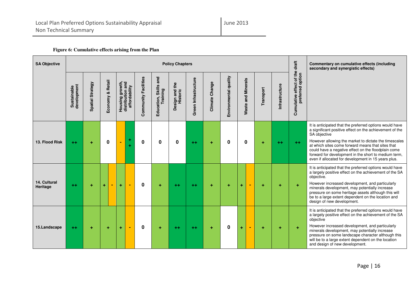| <b>SA Objective</b>      | <b>Policy Chapters</b>     |                  |                               |                |                                                             |                      |                                               |                            |                      |                |                       |                              |           |                | drat                                                     | Commentary on cumulative effects (including<br>secondary and synergistic effects)                                                                                                                                                                                                                                                                                                                                      |
|--------------------------|----------------------------|------------------|-------------------------------|----------------|-------------------------------------------------------------|----------------------|-----------------------------------------------|----------------------------|----------------------|----------------|-----------------------|------------------------------|-----------|----------------|----------------------------------------------------------|------------------------------------------------------------------------------------------------------------------------------------------------------------------------------------------------------------------------------------------------------------------------------------------------------------------------------------------------------------------------------------------------------------------------|
|                          | Sustainable<br>development | Spatial Strategy | <b>Retail</b><br>ೲ<br>Economy |                | and<br>Housing growth,<br>distribution and<br>affordability | Community Facilities | and<br>Skills<br>Education, Skill<br>Training | Design and the<br>Historic | Green Infrastructure | Climate Change | Environmental quality | and Minerals<br><b>Waste</b> | Transport | Infrastructure | of the<br>option<br>ಕ<br>effe<br>preferred<br>Cumulative |                                                                                                                                                                                                                                                                                                                                                                                                                        |
| 13. Flood Risk           | $++$                       | ٠                | $\mathbf 0$                   | $\blacksquare$ | ۰<br>٠                                                      | 0                    | $\bf{0}$                                      | 0                          | $++$                 |                | 0                     | 0                            | ÷         | $+ +$          | $++$                                                     | It is anticipated that the preferred options would have<br>a significant positive effect on the achievement of the<br>SA objective<br>However allowing the market to dictate the timescales<br>at which sites come forward means that sites that<br>could have a negative effect on the floodplain come<br>forward for development in the short to medium term,<br>even if allocated for development in 15 years plus. |
| 14. Cultural<br>Heritage | $++$                       | ٠                | ÷<br>۰                        | ÷              |                                                             | $\bf{0}$             | ٠                                             | ++                         | $+ +$                | ÷              | ٠                     | ÷<br>$\blacksquare$          | ٠         | ÷              | ÷                                                        | It is anticipated that the preferred options would have<br>a largely positive effect on the achievement of the SA<br>objective.<br>However increased development, and particularly<br>minerals development, may potentially increase<br>pressure on some heritage assets although this will<br>be to a large extent dependent on the location and<br>design of new development.                                        |
| 15.Landscape             | $++$                       | ÷                | ÷                             | ÷              | $\blacksquare$                                              | $\bf{0}$             | ÷                                             | $+ +$                      | $+ +$                | ÷              | 0                     | ÷<br>$\sim$                  | ÷         | ÷              | ÷                                                        | It is anticipated that the preferred options would have<br>a largely positive effect on the achievement of the SA<br>objective<br>However increased development, and particularly<br>minerals development, may potentially increase<br>pressure on some landscape character although this<br>will be to a large extent dependent on the location<br>and design of new development.                                     |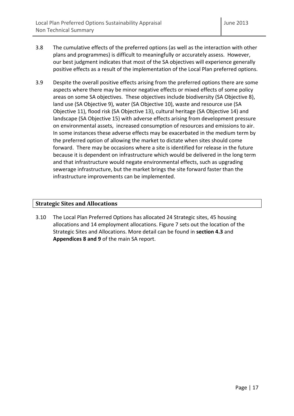- 3.8 The cumulative effects of the preferred options (as well as the interaction with other plans and programmes) is difficult to meaningfully or accurately assess. However, our best judgment indicates that most of the SA objectives will experience generally positive effects as a result of the implementation of the Local Plan preferred options.
- 3.9 Despite the overall positive effects arising from the preferred options there are some aspects where there may be minor negative effects or mixed effects of some policy areas on some SA objectives. These objectives include biodiversity (SA Objective 8), land use (SA Objective 9), water (SA Objective 10), waste and resource use (SA Objective 11), flood risk (SA Objective 13), cultural heritage (SA Objective 14) and landscape (SA Objective 15) with adverse effects arising from development pressure on environmental assets, increased consumption of resources and emissions to air. In some instances these adverse effects may be exacerbated in the medium term by the preferred option of allowing the market to dictate when sites should come forward. There may be occasions where a site is identified for release in the future because it is dependent on infrastructure which would be delivered in the long term and that infrastructure would negate environmental effects, such as upgrading sewerage infrastructure, but the market brings the site forward faster than the infrastructure improvements can be implemented.

## Strategic Sites and Allocations

3.10 The Local Plan Preferred Options has allocated 24 Strategic sites, 45 housing allocations and 14 employment allocations. Figure 7 sets out the location of the Strategic Sites and Allocations. More detail can be found in section 4.3 and Appendices 8 and 9 of the main SA report.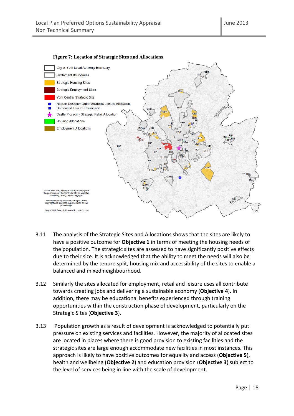

#### **Figure 7: Location of Strategic Sites and Allocations**

- 3.11 The analysis of the Strategic Sites and Allocations shows that the sites are likely to have a positive outcome for **Objective 1** in terms of meeting the housing needs of the population. The strategic sites are assessed to have significantly positive effects due to their size. It is acknowledged that the ability to meet the needs will also be determined by the tenure split, housing mix and accessibility of the sites to enable a balanced and mixed neighbourhood.
- 3.12 Similarly the sites allocated for employment, retail and leisure uses all contribute towards creating jobs and delivering a sustainable economy (Objective 4). In addition, there may be educational benefits experienced through training opportunities within the construction phase of development, particularly on the Strategic Sites (Objective 3).
- 3.13 Population growth as a result of development is acknowledged to potentially put pressure on existing services and facilities. However, the majority of allocated sites are located in places where there is good provision to existing facilities and the strategic sites are large enough accommodate new facilities in most instances. This approach is likely to have positive outcomes for equality and access (Objective 5), health and wellbeing (Objective 2) and education provision (Objective 3) subject to the level of services being in line with the scale of development.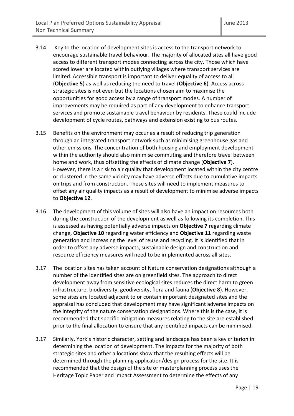- 3.14 Key to the location of development sites is access to the transport network to encourage sustainable travel behaviour. The majority of allocated sites all have good access to different transport modes connecting across the city. Those which have scored lower are located within outlying villages where transport services are limited. Accessible transport is important to deliver equality of access to all (Objective 5) as well as reducing the need to travel (Objective 6). Access across strategic sites is not even but the locations chosen aim to maximise the opportunities for good access by a range of transport modes. A number of improvements may be required as part of any development to enhance transport services and promote sustainable travel behaviour by residents. These could include development of cycle routes, pathways and extension existing to bus routes.
- 3.15 Benefits on the environment may occur as a result of reducing trip generation through an integrated transport network such as minimising greenhouse gas and other emissions. The concentration of both housing and employment development within the authority should also minimise commuting and therefore travel between home and work, thus offsetting the effects of climate change (Objective 7). However, there is a risk to air quality that development located within the city centre or clustered in the same vicinity may have adverse effects due to cumulative impacts on trips and from construction. These sites will need to implement measures to offset any air quality impacts as a result of development to minimise adverse impacts to Objective 12.
- 3.16 The development of this volume of sites will also have an impact on resources both during the construction of the development as well as following its completion. This is assessed as having potentially adverse impacts on Objective 7 regarding climate change, Objective 10 regarding water efficiency and Objective 11 regarding waste generation and increasing the level of reuse and recycling. It is identified that in order to offset any adverse impacts, sustainable design and construction and resource efficiency measures will need to be implemented across all sites.
- 3.17 The location sites has taken account of Nature conservation designations although a number of the identified sites are on greenfield sites. The approach to direct development away from sensitive ecological sites reduces the direct harm to green infrastructure, biodiversity, geodiversity, flora and fauna (Objective 8). However, some sites are located adjacent to or contain important designated sites and the appraisal has concluded that development may have significant adverse impacts on the integrity of the nature conservation designations. Where this is the case, it is recommended that specific mitigation measures relating to the site are established prior to the final allocation to ensure that any identified impacts can be minimised.
- 3.17 Similarly, York's historic character, setting and landscape has been a key criterion in determining the location of development. The impacts for the majority of both strategic sites and other allocations show that the resulting effects will be determined through the planning application/design process for the site. It is recommended that the design of the site or masterplanning process uses the Heritage Topic Paper and Impact Assessment to determine the effects of any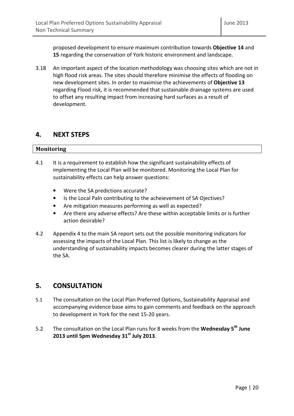proposed development to ensure maximum contribution towards Objective 14 and 15 regarding the conservation of York historic environment and landscape.

3.18 An important aspect of the location methodology was choosing sites which are not in high flood risk areas. The sites should therefore minimise the effects of flooding on new development sites. In order to maximise the achievements of Objective 13 regarding Flood risk, it is recommended that sustainable drainage systems are used to offset any resulting impact from increasing hard surfaces as a result of development.

## 4. NEXT STEPS

## Monitoring

- 4.1 It is a requirement to establish how the significant sustainability effects of implementing the Local Plan will be monitored. Monitoring the Local Plan for sustainability effects can help answer questions:
	- Were the SA predictions accurate?
	- Is the Local Paln contributing to the acheievement of SA Ojectives?
	- Are mitigation measures performing as well as expected?
	- Are there any adverse effects? Are these within acceptable limits or is further action desirable?
- 4.2 Appendix 4 to the main SA report sets out the possible monitoring indicators for assessing the impacts of the Local Plan. This list is likely to change as the understanding of sustainability impacts becomes clearer during the latter stages of the SA.

## 5. CONSULTATION

- 5.1 The consultation on the Local Plan Preferred Options, Sustainability Appraisal and accompanying evidence base aims to gain comments and feedback on the approach to development in York for the next 15-20 years.
- 5.2 The consultation on the Local Plan runs for 8 weeks from the Wednesday 5<sup>th</sup> June 2013 until 5pm Wednesday  $31<sup>st</sup>$  July 2013.